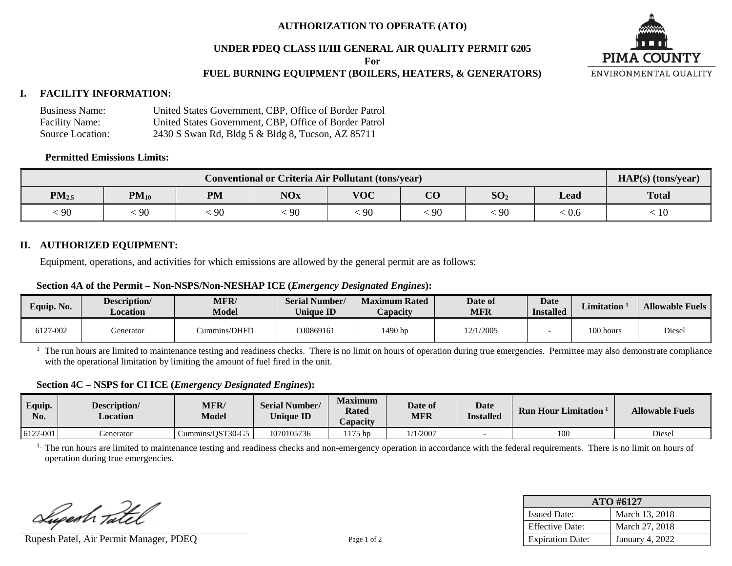## **AUTHORIZATION TO OPERATE (ATO)**

#### **UNDER PDEQ CLASS II/III GENERAL AIR QUALITY PERMIT 6205**

**For**

## **FUEL BURNING EQUIPMENT (BOILERS, HEATERS, & GENERATORS)**

#### **I. FACILITY INFORMATION:**

| <b>Business Name:</b> | United States Government, CBP, Office of Border Patrol |
|-----------------------|--------------------------------------------------------|
| <b>Facility Name:</b> | United States Government, CBP, Office of Border Patrol |
| Source Location:      | 2430 S Swan Rd, Bldg 5 & Bldg 8, Tucson, AZ 85711      |

#### **Permitted Emissions Limits:**

| <b>Conventional or Criteria Air Pollutant (tons/year)</b> |           |     |            |            |               |                 |       | $HAP(s)$ (tons/year) |
|-----------------------------------------------------------|-----------|-----|------------|------------|---------------|-----------------|-------|----------------------|
| $PM_{2.5}$                                                | $PM_{10}$ | PM  | <b>NOx</b> | <b>VOC</b> | $\Omega$<br>U | SO <sub>2</sub> | Lead  | <b>Total</b>         |
| $\frac{1}{2}$                                             | 90        | .90 | 90         | 90         | -90           | 90              | . V.O | 1 U                  |

#### **II. AUTHORIZED EQUIPMENT:**

Equipment, operations, and activities for which emissions are allowed by the general permit are as follows:

#### **Section 4A of the Permit – Non-NSPS/Non-NESHAP ICE (***Emergency Designated Engines***):**

| Equip. No. | Description/<br><b>Location</b> | <b>MFR/</b><br><b>Model</b> | <b>Serial Number/</b><br><b>Unique ID</b> | <b>Maximum Rated</b><br>Capacity | Date of<br><b>MFR</b> |  | <b>Limitation</b> | <b>Allowable Fuels</b> |
|------------|---------------------------------|-----------------------------|-------------------------------------------|----------------------------------|-----------------------|--|-------------------|------------------------|
| 6127-002   | Generator                       | ummins/DHFD                 | OJ0869161                                 | 1490 hp                          | 12/1/2005             |  | 100 hours         | Diesel                 |

 $<sup>1</sup>$  The run hours are limited to maintenance testing and readiness checks. There is no limit on hours of operation during true emergencies. Permittee may also demonstrate compliance</sup> with the operational limitation by limiting the amount of fuel fired in the unit.

#### **Section 4C – NSPS for CI ICE (***Emergency Designated Engines***):**

| Equip.<br>No. | Description/<br>$\angle$ ocation | <b>MFR/</b><br><b>Model</b> | <b>Serial Number/</b><br><b>Unique ID</b> | <b>Maximum</b><br><b>Rated</b><br>Capacity | Date of<br><b>MFR</b> | <b>Date</b><br><b>Installed</b> | <b>Run Hour</b><br><b>Limitation</b> | <b>Allowable Fuels</b> |
|---------------|----------------------------------|-----------------------------|-------------------------------------------|--------------------------------------------|-----------------------|---------------------------------|--------------------------------------|------------------------|
| 6127-001      | Generator                        | Cummins/OST30-G5            | 1070105736                                | $175$ hp                                   | 1/1/2007              |                                 | 100                                  | Diesel                 |

<sup>1.</sup> The run hours are limited to maintenance testing and readiness checks and non-emergency operation in accordance with the federal requirements. There is no limit on hours of operation during true emergencies.

Lupesh Tatel

Rupesh Patel, Air Permit Manager, PDEQ Page 1 of 2

| ATO #6127               |                 |  |  |  |  |
|-------------------------|-----------------|--|--|--|--|
| <b>Issued Date:</b>     | March 13, 2018  |  |  |  |  |
| <b>Effective Date:</b>  | March 27, 2018  |  |  |  |  |
| <b>Expiration Date:</b> | January 4, 2022 |  |  |  |  |